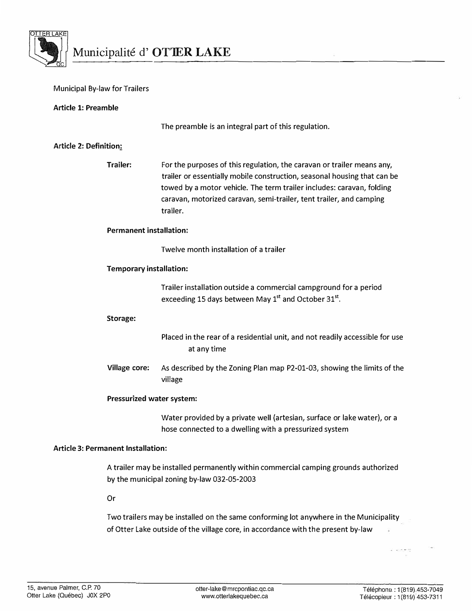

### Municipal By-law for Trailers

### Article 1: Preamble

The preamble is an integral part of this regulation.

### Article 2: Definition;

Trailer: For the purposes of this regulation, the caravan or trailer means any, trailer or essentially mobile construction, seasonal housing that can be towed by a motor vehicle. The term trailer includes: caravan, folding caravan, motorized caravan, semi-trailer, tent trailer, and camping trailer.

### Permanent installation:

Twelve month installation of a trailer

### Temporary installation:

Trailer installation outside a commercial campground for a period exceeding 15 days between May  $1<sup>st</sup>$  and October 31 $<sup>st</sup>$ .</sup>

### Storage:

Placed in the rear of a residential unit, and not readily accessible for use at any time

Village core: As described by the Zoning Plan map P2-01-03, showing the limits of the village

### Pressurized water system:

Water provided by a private well (artesian, surface or lake water), or a hose connected to a dwelling with a pressurized system

### Article 3: Permanent Installation:

A trailer may be installed permanently within commercial camping grounds authorized by the municipal zoning by-law 032-05-2003

Or

Two trailers may be installed on the same conforming lot anywhere in the Municipality of Otter Lake outside of the village core, in accordance with the present by-law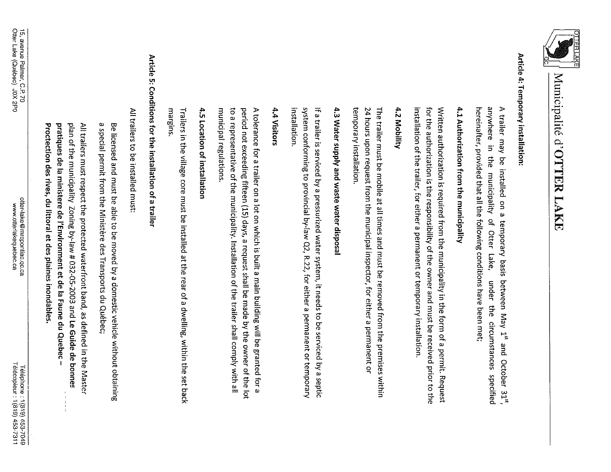

## Article 4: Temporary installation:

hereinafter, provided that all the following conditions have been met; anywhere in the municipality of Otter Lake, A trailer may be installed on a temporary basis between May 1<sup>st</sup> and October 31<sup>st</sup> under the circumstances specified

## 4.1 Authorization from the municipality

for the authorization is the responsibility of the owner and must be received prior to the Written authorization is required from the municipality in the form of a permit. Request installation of the trailer, for either a permanent or temporary installation.

### 4.2 Mobility

The trailer must be mobile at all times and must be removed from the premises within temporary installation. 24 hours upon request from the municipal inspector, for either a permanent or

# 4.3 Water supply and waste water disposal

system conforming to provincial by-law Q2, R.22, for either a permanent or temporary If a trailer is serviced by a pressurized water system, it needs to be serviced by a septic installation

### 4.4 Visitors

municipal regulations. to a representative of the municipality. Installation of the trailer shall comply with all period not exceeding fifteen (15) days, a request shall be made by the owner of the lot A tolerance for a trailer on a lot on which is built a main building will be granted for a

## 4.5 Location of installation

margins. Trailers in the village core must be installed at the rear of a dwelling, within the set back

# Article 5: Conditions for the installation of a trailer

All trailers to be installed must:

a special permit from the Ministère des Transports du Québec; Be licensed and must be able to be moved by a domestic vehicle without obtaining

plan of the municipality Zoning by-law # 032-05-2003 and Le Guide de bonnes All trailers must respect the protected waterfront band, as defined in the Master pratiques de la ministere de l'Environment et de la Faune du Quebec-Proctection des rives, du littoral et des plaines inondables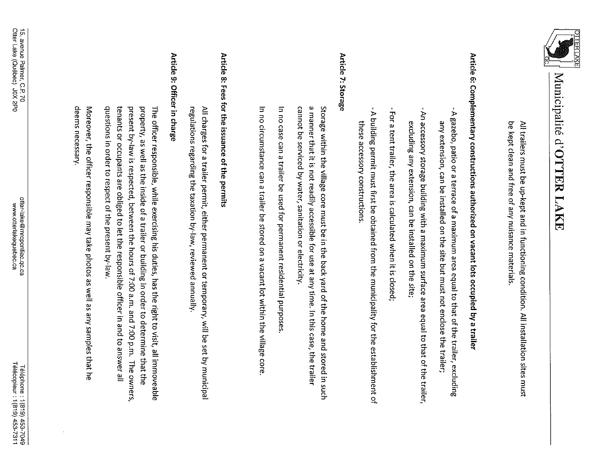

be kept clean and free of any nuisance materials. All trailers must be up-kept and in functioning condition. All installation sites must

# Article 6: Complementary constructions authorized on vacant lots occupied by a trailer

- A gazebo, patio or a terrace of a maximum area equal to that of the trailer, excluding any extension, can be installed on the site but must not enclose the trailer;
- An accessory storage building with a maximum surface area equal to that of the trailer, excluding any extension, can be installed on the site;
- -For a tent trailer, the area is calculated when it is closed;
- A building permit must first be obtained from the municipality for the establishment of these accessory constructions.

### Article 7: Storage

Storage within the village core must be in the back yard of the home and stored in such cannot be serviced by water, sanitation or electricity. a manner that it is not readily accessible for use at any time. In this case, the trailer

In no case can a trailer be used for permanent residential purposes

In no circumstance can a trailer be stored on a vacant lot within the village core

# Article 8: Fees for the issuance of the permits

regulations regarding the taxation by-law, reviewed annually All charges for a trailer permit, either permanent or temporary, will be set by municipal

### Article 9: Officer in charge

present by-law is respected, between the hours of 7:00 a.m. and 7:00 p.m. The owners questions in order to respect of the present by-law tenants or occupants are obliged to let the responsible officer in and to answer all property, as well as the inside of a trailer or building in order to determine that the The officer responsible, while exercising his duties, has the right to visit, all immoveable

deems necessary Moreover, the officer responsible may take photos as well as any samples that he